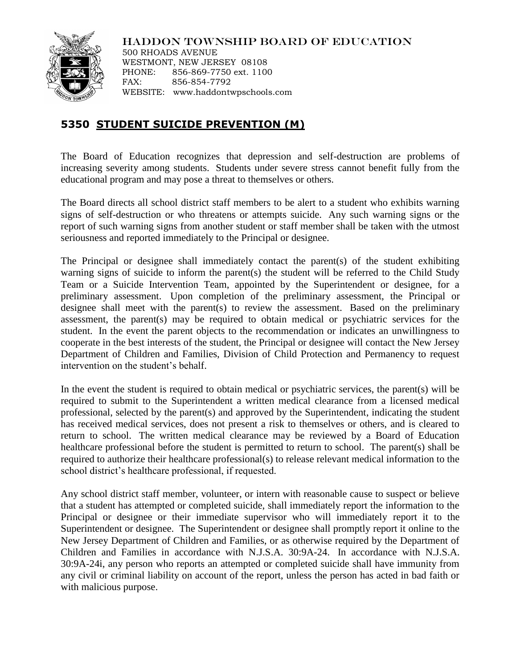

HADDON TOWNSHIP BOARD OF EDUCATION

500 RHOADS AVENUE WESTMONT, NEW JERSEY 08108 PHONE: 856-869-7750 ext. 1100 FAX: 856-854-7792 WEBSITE: www.haddontwpschools.com

## **5350 STUDENT SUICIDE PREVENTION (M)**

The Board of Education recognizes that depression and self-destruction are problems of increasing severity among students. Students under severe stress cannot benefit fully from the educational program and may pose a threat to themselves or others.

The Board directs all school district staff members to be alert to a student who exhibits warning signs of self-destruction or who threatens or attempts suicide. Any such warning signs or the report of such warning signs from another student or staff member shall be taken with the utmost seriousness and reported immediately to the Principal or designee.

The Principal or designee shall immediately contact the parent(s) of the student exhibiting warning signs of suicide to inform the parent(s) the student will be referred to the Child Study Team or a Suicide Intervention Team, appointed by the Superintendent or designee, for a preliminary assessment. Upon completion of the preliminary assessment, the Principal or designee shall meet with the parent(s) to review the assessment. Based on the preliminary assessment, the parent(s) may be required to obtain medical or psychiatric services for the student. In the event the parent objects to the recommendation or indicates an unwillingness to cooperate in the best interests of the student, the Principal or designee will contact the New Jersey Department of Children and Families, Division of Child Protection and Permanency to request intervention on the student's behalf.

In the event the student is required to obtain medical or psychiatric services, the parent(s) will be required to submit to the Superintendent a written medical clearance from a licensed medical professional, selected by the parent(s) and approved by the Superintendent, indicating the student has received medical services, does not present a risk to themselves or others, and is cleared to return to school. The written medical clearance may be reviewed by a Board of Education healthcare professional before the student is permitted to return to school. The parent(s) shall be required to authorize their healthcare professional(s) to release relevant medical information to the school district's healthcare professional, if requested.

Any school district staff member, volunteer, or intern with reasonable cause to suspect or believe that a student has attempted or completed suicide, shall immediately report the information to the Principal or designee or their immediate supervisor who will immediately report it to the Superintendent or designee. The Superintendent or designee shall promptly report it online to the New Jersey Department of Children and Families, or as otherwise required by the Department of Children and Families in accordance with N.J.S.A. 30:9A-24. In accordance with N.J.S.A. 30:9A-24i, any person who reports an attempted or completed suicide shall have immunity from any civil or criminal liability on account of the report, unless the person has acted in bad faith or with malicious purpose.